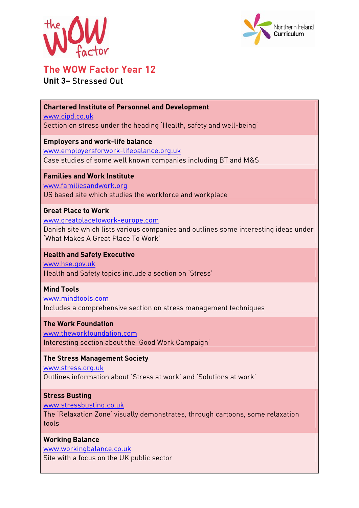



# The WOW Factor Year 12

# **Unit 3–** Stressed Out

**Chartered Institute of Personnel and Development**  www.cipd.co.uk Section on stress under the heading 'Health, safety and well-being' **Employers and work-life balance**  www.employersforwork-lifebalance.org.uk

Case studies of some well known companies including BT and M&S

**Families and Work Institute**  www.familiesandwork.org US based site which studies the workforce and workplace

#### **Great Place to Work**

www.greatplacetowork-europe.com Danish site which lists various companies and outlines some interesting ideas under 'What Makes A Great Place To Work'

## **Health and Safety Executive**

www.hse.gov.uk Health and Safety topics include a section on 'Stress'

**Mind Tools** 

www.mindtools.com Includes a comprehensive section on stress management techniques

#### **The Work Foundation**

www.theworkfoundation.com Interesting section about the 'Good Work Campaign'

#### **The Stress Management Society**

www.stress.org.uk Outlines information about 'Stress at work' and 'Solutions at work'

#### **Stress Busting**

www.stressbusting.co.uk

The 'Relaxation Zone' visually demonstrates, through cartoons, some relaxation tools

### **Working Balance**

www.workingbalance.co.uk Site with a focus on the UK public sector